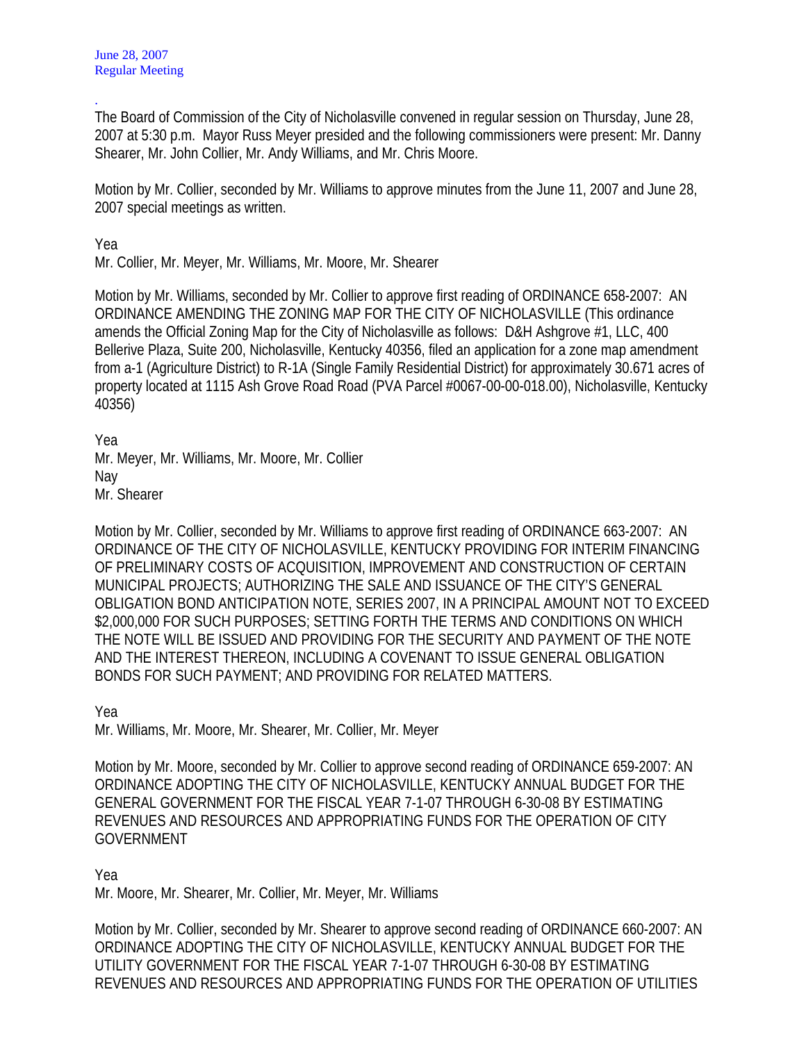. The Board of Commission of the City of Nicholasville convened in regular session on Thursday, June 28, 2007 at 5:30 p.m. Mayor Russ Meyer presided and the following commissioners were present: Mr. Danny Shearer, Mr. John Collier, Mr. Andy Williams, and Mr. Chris Moore.

Motion by Mr. Collier, seconded by Mr. Williams to approve minutes from the June 11, 2007 and June 28, 2007 special meetings as written.

Yea

Mr. Collier, Mr. Meyer, Mr. Williams, Mr. Moore, Mr. Shearer

Motion by Mr. Williams, seconded by Mr. Collier to approve first reading of ORDINANCE 658-2007: AN ORDINANCE AMENDING THE ZONING MAP FOR THE CITY OF NICHOLASVILLE (This ordinance amends the Official Zoning Map for the City of Nicholasville as follows: D&H Ashgrove #1, LLC, 400 Bellerive Plaza, Suite 200, Nicholasville, Kentucky 40356, filed an application for a zone map amendment from a-1 (Agriculture District) to R-1A (Single Family Residential District) for approximately 30.671 acres of property located at 1115 Ash Grove Road Road (PVA Parcel #0067-00-00-018.00), Nicholasville, Kentucky 40356)

Yea Mr. Meyer, Mr. Williams, Mr. Moore, Mr. Collier Nay Mr. Shearer

Motion by Mr. Collier, seconded by Mr. Williams to approve first reading of ORDINANCE 663-2007: AN ORDINANCE OF THE CITY OF NICHOLASVILLE, KENTUCKY PROVIDING FOR INTERIM FINANCING OF PRELIMINARY COSTS OF ACQUISITION, IMPROVEMENT AND CONSTRUCTION OF CERTAIN MUNICIPAL PROJECTS; AUTHORIZING THE SALE AND ISSUANCE OF THE CITY'S GENERAL OBLIGATION BOND ANTICIPATION NOTE, SERIES 2007, IN A PRINCIPAL AMOUNT NOT TO EXCEED \$2,000,000 FOR SUCH PURPOSES; SETTING FORTH THE TERMS AND CONDITIONS ON WHICH THE NOTE WILL BE ISSUED AND PROVIDING FOR THE SECURITY AND PAYMENT OF THE NOTE AND THE INTEREST THEREON, INCLUDING A COVENANT TO ISSUE GENERAL OBLIGATION BONDS FOR SUCH PAYMENT; AND PROVIDING FOR RELATED MATTERS.

Yea

Mr. Williams, Mr. Moore, Mr. Shearer, Mr. Collier, Mr. Meyer

Motion by Mr. Moore, seconded by Mr. Collier to approve second reading of ORDINANCE 659-2007: AN ORDINANCE ADOPTING THE CITY OF NICHOLASVILLE, KENTUCKY ANNUAL BUDGET FOR THE GENERAL GOVERNMENT FOR THE FISCAL YEAR 7-1-07 THROUGH 6-30-08 BY ESTIMATING REVENUES AND RESOURCES AND APPROPRIATING FUNDS FOR THE OPERATION OF CITY GOVERNMENT

Yea

Mr. Moore, Mr. Shearer, Mr. Collier, Mr. Meyer, Mr. Williams

Motion by Mr. Collier, seconded by Mr. Shearer to approve second reading of ORDINANCE 660-2007: AN ORDINANCE ADOPTING THE CITY OF NICHOLASVILLE, KENTUCKY ANNUAL BUDGET FOR THE UTILITY GOVERNMENT FOR THE FISCAL YEAR 7-1-07 THROUGH 6-30-08 BY ESTIMATING REVENUES AND RESOURCES AND APPROPRIATING FUNDS FOR THE OPERATION OF UTILITIES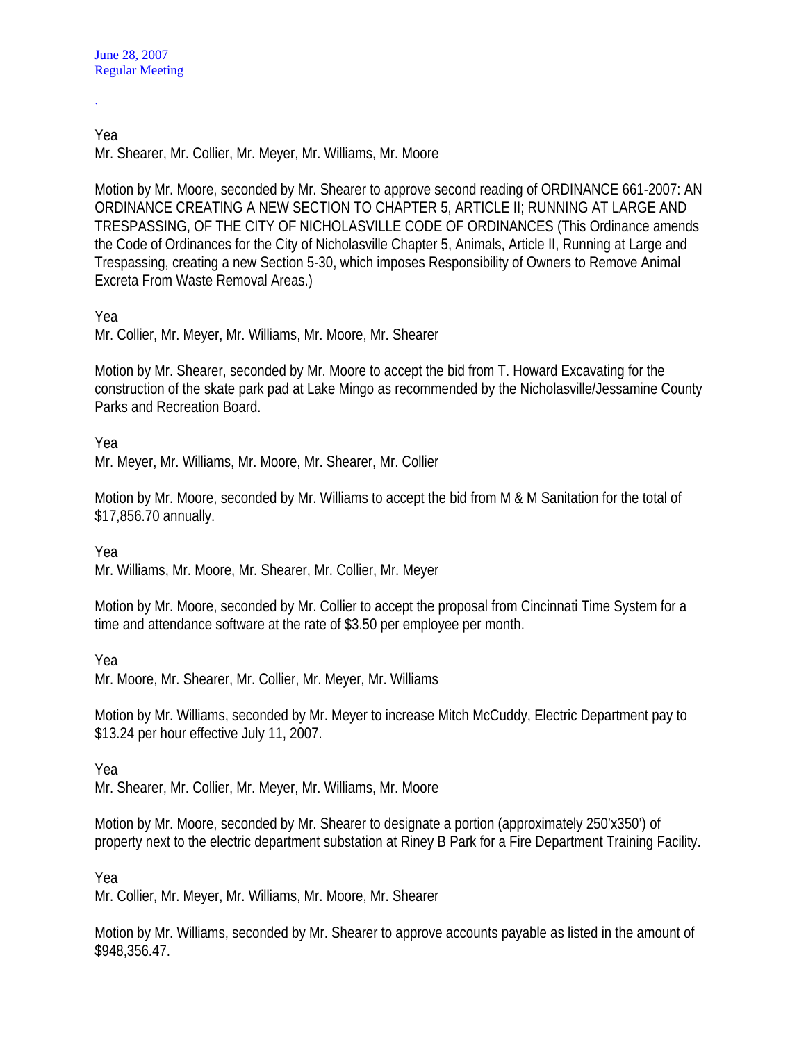.

## Yea Mr. Shearer, Mr. Collier, Mr. Meyer, Mr. Williams, Mr. Moore

Motion by Mr. Moore, seconded by Mr. Shearer to approve second reading of ORDINANCE 661-2007: AN ORDINANCE CREATING A NEW SECTION TO CHAPTER 5, ARTICLE II; RUNNING AT LARGE AND TRESPASSING, OF THE CITY OF NICHOLASVILLE CODE OF ORDINANCES (This Ordinance amends the Code of Ordinances for the City of Nicholasville Chapter 5, Animals, Article II, Running at Large and Trespassing, creating a new Section 5-30, which imposes Responsibility of Owners to Remove Animal Excreta From Waste Removal Areas.)

## Yea

Mr. Collier, Mr. Meyer, Mr. Williams, Mr. Moore, Mr. Shearer

Motion by Mr. Shearer, seconded by Mr. Moore to accept the bid from T. Howard Excavating for the construction of the skate park pad at Lake Mingo as recommended by the Nicholasville/Jessamine County Parks and Recreation Board.

Yea

Mr. Meyer, Mr. Williams, Mr. Moore, Mr. Shearer, Mr. Collier

Motion by Mr. Moore, seconded by Mr. Williams to accept the bid from M & M Sanitation for the total of \$17,856.70 annually.

Yea

Mr. Williams, Mr. Moore, Mr. Shearer, Mr. Collier, Mr. Meyer

Motion by Mr. Moore, seconded by Mr. Collier to accept the proposal from Cincinnati Time System for a time and attendance software at the rate of \$3.50 per employee per month.

Yea

Mr. Moore, Mr. Shearer, Mr. Collier, Mr. Meyer, Mr. Williams

Motion by Mr. Williams, seconded by Mr. Meyer to increase Mitch McCuddy, Electric Department pay to \$13.24 per hour effective July 11, 2007.

Yea

Mr. Shearer, Mr. Collier, Mr. Meyer, Mr. Williams, Mr. Moore

Motion by Mr. Moore, seconded by Mr. Shearer to designate a portion (approximately 250'x350') of property next to the electric department substation at Riney B Park for a Fire Department Training Facility.

Yea

Mr. Collier, Mr. Meyer, Mr. Williams, Mr. Moore, Mr. Shearer

Motion by Mr. Williams, seconded by Mr. Shearer to approve accounts payable as listed in the amount of \$948,356.47.